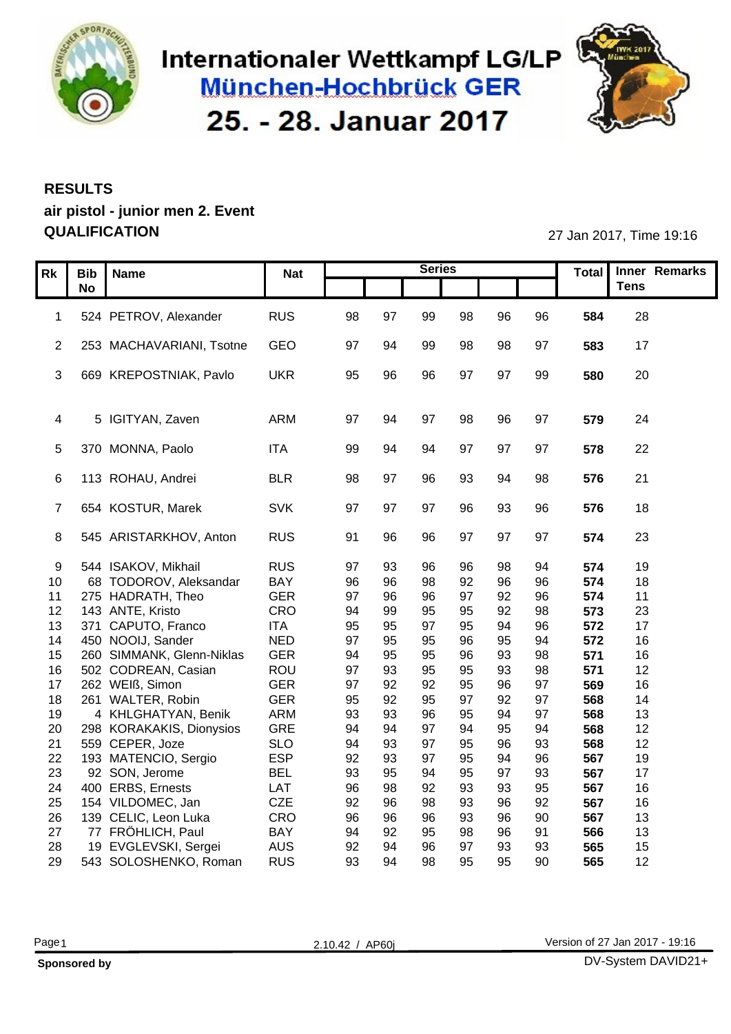

### Internationaler Wettkampf LG/LP München-Hochbrück GER 25. - 28. Januar 2017



#### **RESULTS air pistol - junior men 2. Event QUALIFICATION** 27 Jan 2017, Time 19:16

|                                               |                   | <b>Nat</b> |                |    | <b>Series</b>   |    |          |            | Total Inner Remarks |
|-----------------------------------------------|-------------------|------------|----------------|----|-----------------|----|----------|------------|---------------------|
| Rk Bib Name                                   |                   |            |                |    |                 |    |          |            | Tens                |
|                                               |                   |            |                |    |                 |    |          |            |                     |
| 1 524 PETROV, Alexander                       |                   | <b>RUS</b> | 98<br>97       |    | 99<br>98        | 96 | 96       | 584        | 28                  |
|                                               |                   |            |                |    |                 |    |          |            |                     |
| 2 253 MACHAVARIANI, Tsotne                    | GEO               |            | 97<br>- 94     | 99 | 98              | 98 | 97       | 583        | 17                  |
| 3 669 KREPOSTNIAK, Pavlo                      | <b>UKR</b>        |            | 95<br>96       | 96 | 97              | 97 | 99       | 580        | 20                  |
|                                               |                   |            |                |    |                 |    |          |            |                     |
|                                               |                   |            |                |    |                 |    |          |            |                     |
| 4 5 IGITYAN, Zaven                            |                   | ARM        | 97<br>-94      | 97 | 98              | 96 | 97       | 579        | - 24                |
|                                               |                   |            |                |    |                 |    |          |            |                     |
| 5 370 MONNA, Paolo                            | <b>ITA</b>        |            | 99<br>94       | 94 | 97              | 97 | 97       | 578        | 22                  |
|                                               |                   |            |                |    |                 |    |          |            |                     |
| 6 113 ROHAU, Andrei                           | <b>BLR</b>        |            | 98<br>97       | 96 | 93              | 94 | 98       | 576        | 21                  |
|                                               |                   |            |                |    |                 |    |          |            |                     |
| 7 654 KOSTUR, Marek                           | <b>SVK</b>        |            | 97<br>97       | 97 | 96              | 93 | 96       | 576        | 18                  |
|                                               |                   |            |                |    |                 |    |          |            |                     |
| 8 545 ARISTARKHOV, Anton                      |                   | RUS        | 91 96          |    | 96<br>97        | 97 | 97       | 574        | 23                  |
| 9 544 ISAKOV, Mikhail                         | <b>RUS</b>        |            | 97<br>93       | 96 |                 |    |          | 574        | 19                  |
| 10 68 TODOROV, Aleksandar                     | <b>BAY</b>        |            | 96<br>96       | 98 | 92              | 96 | 96       | 574        | 18                  |
| 11 275 HADRATH, Theo                          | <b>GER</b>        |            | 97<br>96       | 96 | - 97            | 92 | 96       | 574        | 11                  |
| 12 143 ANTE, Kristo                           |                   | CRO        | 94<br>99       | 95 | 95              | 92 | 98       | 573        | 23                  |
| 13 371 CAPUTO, Franco                         | <b>ITA</b>        |            | 95<br>95       | 97 | 95              | 94 | 96       | 572        | 17                  |
| 14 450 NOOIJ, Sander                          | <b>NED</b>        |            | 97<br>95       | 95 | 96              | 95 | 94       | 572        | 16                  |
| 15 260 SIMMANK, Glenn-Niklas                  |                   | GER        | 94<br>95       | 95 | 96              | 93 | 98       | 571        | 16                  |
| 16 502 CODREAN, Casian                        |                   | ROU        | 97<br>93       | 95 | 95              | 93 | 98       | 571        | 12                  |
| 17 262 WEIß, Simon                            | <b>GER</b>        |            | 97<br>92       | 92 | 95              | 96 | 97       | 569        | 16                  |
| 18 261 WALTER, Robin                          | <b>GER</b>        |            | 95<br>92       | 95 | 97              | 92 | 97       | 568        | 14                  |
| 4 KHLGHATYAN, Benik<br>19                     |                   | ARM        | 93<br>93       | 96 | 95<br>$Q\Delta$ |    | 97       | 568        | 13                  |
| 20 298 KORAKAKIS, Dionysios                   |                   | GRE        | 94<br>-94      | 97 |                 | 95 | 94       | 568        | 12                  |
| 21 559 CEPER, Joze<br>22 193 MATENCIO, Sergio | <b>SLO</b><br>ESP |            | 94<br>92<br>93 | 97 | 95              | 94 | 93<br>96 | 568<br>567 | 12<br>19            |
| 23 92 SON, Jerome                             | <b>BEL</b>        |            | 93<br>95       | 94 | 95              | 97 | 93       | 567        | 17                  |
| 24 400 ERBS, Ernests                          | LAT               |            | 96<br>98       | 92 | 93              | 93 | 95       | 567        | 16                  |
| 25 154 VILDOMEC, Jan                          | CZE               |            | 92<br>96       | 98 | 93              | 96 | 92       | 567        | 16                  |
| 26 139 CELIC, Leon Luka                       |                   | CRO        | 96<br>96       | 96 |                 |    | 90       | 567        | 13                  |
| 27 77 FRÖHLICH, Paul                          | <b>BAY</b>        |            | 94<br>92       | 95 | 98              | 96 | 91       | 566        | 13                  |
| 19 EVGLEVSKI, Sergei<br>28                    | AUS               |            | 92<br>94       | 96 | 97              | 93 | 93       | 565        | 15                  |
| 29 543 SOLOSHENKO, Roman                      |                   | <b>RUS</b> | 93<br>94       |    | 95<br>98        | 95 | 90       | 565        | 12                  |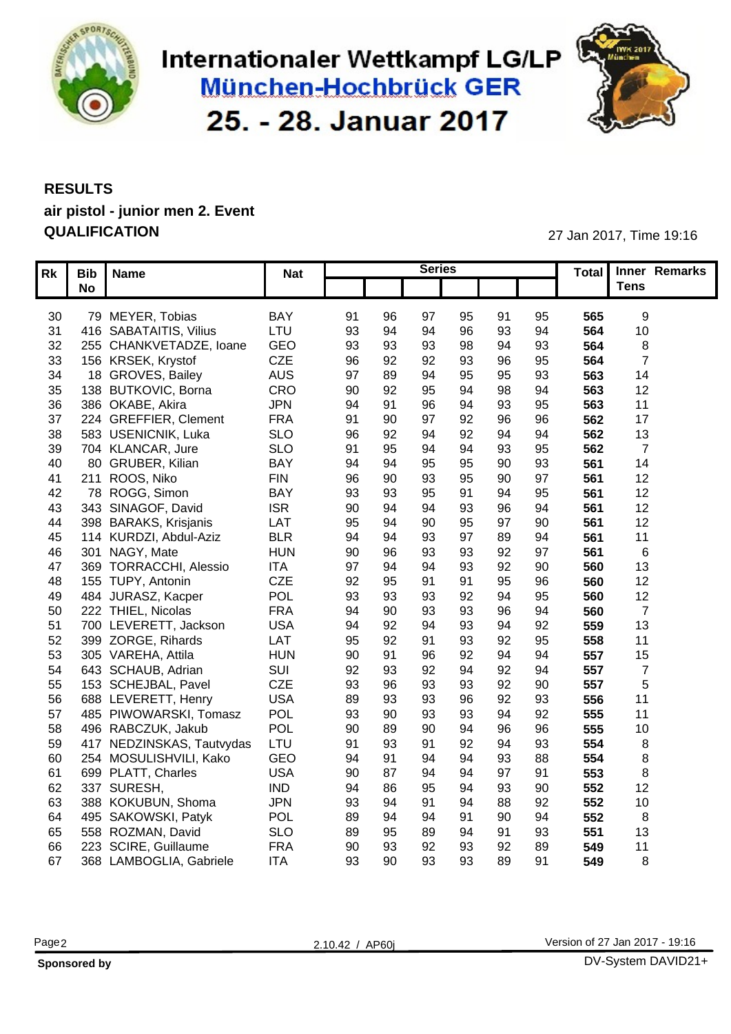

## Internationaler Wettkampf LG/LP München-Hochbrück GER 25. - 28. Januar 2017



#### **RESULTS air pistol - junior men 2. Event QUALIFICATION** 27 Jan 2017, Time 19:16

|    | Rk   Bib   Name            | <b>Nat</b> |    |           | <b>Series</b> |                |                |    |     | Total Inner Remarks |
|----|----------------------------|------------|----|-----------|---------------|----------------|----------------|----|-----|---------------------|
|    | No                         |            |    |           |               |                |                |    |     | Tens                |
|    |                            |            |    |           |               |                |                |    |     |                     |
| 30 | 79 MEYER, Tobias           | BAY        | 91 | 96        | 97            | 95<br>91       |                | 95 | 565 |                     |
| 31 | 416 SABATAITIS, Vilius     | LTU        | 93 | -94       | 94            | 96<br>۹3       |                | 94 | 564 | 10 <sub>1</sub>     |
| 32 | 255 CHANKVETADZE, Ioane    | GEO        | 93 | 93        | 93            | 98<br>94       |                | 93 | 564 |                     |
| 33 | 156 KRSEK, Krystof         | CZE        | 96 | 92        | 92            | 93             | 96             | 95 | 564 |                     |
| 34 | 18 GROVES, Bailey          | <b>AUS</b> | 97 | 89        | 94            | 95             | 95             | 93 | 563 | 14                  |
| 35 | 138 BUTKOVIC, Borna        | CRO        | 90 | 92        | 95            | 94             | 98             | 94 | 563 | 12                  |
| 36 | 386 OKABE, Akira           | <b>JPN</b> | 94 | -91       | 96            | 93             |                | 95 | 563 | 11                  |
| 37 | 224 GREFFIER, Clement      | <b>FRA</b> | 91 | -90       | 97            | 96             |                | 96 | 562 | 17                  |
| 38 | 583 USENICNIK, Luka        | <b>SLO</b> | 96 | -92       | ۹۷            | 92<br>$Q_2$    |                | 94 | 562 | 13                  |
|    | 39 704 KLANCAR, Jure       | <b>SLO</b> | 91 | 95        | 94            | 94             | 93             | 95 | 562 | - 7                 |
| 40 | 80 GRUBER, Kilian          | <b>BAY</b> | 94 | -94       | 95            | 95             | 90             | 93 | 561 | 14                  |
|    | 41 211 ROOS, Niko          | <b>FIN</b> | 96 | -90       | 93            | 95             | 90             | 97 | 56  | 12                  |
| 42 | 78 ROGG, Simon             | <b>BAY</b> | 93 | -93       | 95            | 94             |                | 95 | 561 | 12                  |
|    | 43 343 SINAGOF, David      | <b>ISR</b> | 90 | 94        | 94            | 93             | 96             | 94 | 561 | 12                  |
|    | 44 398 BARAKS, Krisjanis   | LAT        | 95 | 94        | 90            | 97<br>95       |                | 90 | 561 | 12                  |
| 45 | 114 KURDZI, Abdul-Aziz     | <b>BLR</b> | 94 | -94       | 93            |                | 89             | 94 | 561 | 11                  |
| 46 | 301 NAGY, Mate             | <b>HUN</b> | 90 | 96        | 93            | 93             | 92             | 97 | 56  |                     |
| 47 | 369 TORRACCHI, Alessio     | <b>ITA</b> | 97 | 94        | 94            | 93             | 92             | 90 | 560 | 13                  |
| 48 | 155 TUPY, Antonin          | CZE        | 92 | 95        |               |                | 95             | 96 | 560 | 12                  |
|    | 49 484 JURASZ, Kacper      | <b>POL</b> | 93 | 93        |               | 92<br>94       |                | 95 | 560 | 12                  |
|    |                            |            | 94 |           | 93            |                |                |    |     |                     |
| 50 | 222 THIEL, Nicolas         | <b>FRA</b> |    | 90        | 93<br>94      | 93<br>94       | 96             | 94 | 560 |                     |
|    | 51 700 LEVERETT, Jackson   | <b>USA</b> | 94 | 92        |               | 93             |                | 92 | 559 | 13                  |
|    | 52 399 ZORGE, Rihards      | LAT        | 95 | 92<br>-91 |               | 93<br>92<br>94 | 92             | 95 | 558 | 11                  |
|    | 53 305 VAREHA, Attila      | <b>HUN</b> | 90 |           | 96            |                |                | 94 | 557 | 15                  |
|    | 54 643 SCHAUB, Adrian      | SUI        | 92 | 93        | 92            | 94             | 92             | 94 | 557 |                     |
| 55 | 153 SCHEJBAL, Pavel        | <b>CZE</b> | 93 | 96        | 93            | 93             | 92             | 90 | 557 |                     |
| 56 | 688 LEVERETT, Henry        | <b>USA</b> | 89 | 93        | 93            | 96             | 92             | 93 | 556 | 11                  |
| 57 | 485 PIWOWARSKI, Tomasz     | POL        | 93 | .90       |               | 94<br>93       |                | 92 | 555 | 11                  |
| 58 | 496 RABCZUK, Jakub         | POL        | 90 |           | 90            | 96             |                | 96 | 555 | 10 <sub>1</sub>     |
| 59 | 417 NEDZINSKAS, Tautvydas  | LTU        | 91 | -93       |               | 92<br>94       |                | 93 | 554 |                     |
| 60 | 254 MOSULISHVILI, Kako     | GEO        | 94 | -91       | 94            | 94             | 93             | 88 | 554 |                     |
| 61 | 699 PLATT, Charles         | <b>USA</b> | 90 |           |               |                | Q <sub>7</sub> | 91 | 553 |                     |
|    | 62 337 SURESH,             | <b>IND</b> | 94 |           | 95            |                | 93             | 90 | 552 | 12                  |
| 63 | 388 KOKUBUN, Shoma         | <b>JPN</b> | 93 | -QZ       |               |                | 88             | 92 | 552 | 10                  |
|    | 64 495 SAKOWSKI, Patyk     | <b>POL</b> | 89 |           |               |                | 90             | 94 | 552 |                     |
| 65 | 558 ROZMAN, David          | <b>SLO</b> | 89 | 95        | 89            | 91             |                | 93 | 551 | 13                  |
| 66 | 223 SCIRE, Guillaume       | <b>FRA</b> | 90 | 93        | 92            | 93             | 92             | 89 | 549 | 11                  |
|    | 67 368 LAMBOGLIA, Gabriele | <b>ITA</b> | 93 | 90        | 93            | 93             | 89             | 91 | 549 |                     |